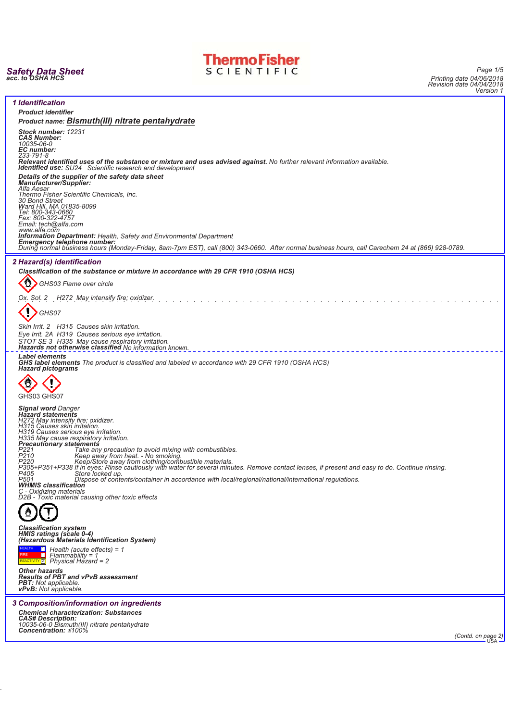



*Page 1/5 Printing date 04/06/2018 Revision date 04/04/2018 Version 1*



*(Contd. on page 2)* USA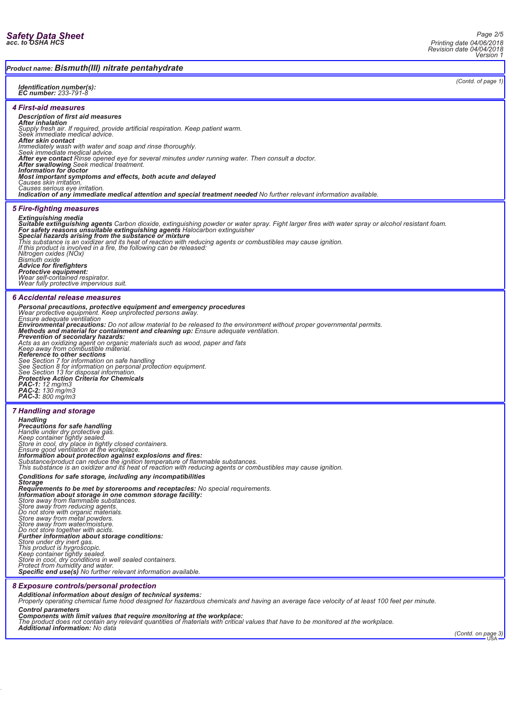*(Contd. of page 1)*

## *Product name: Bismuth(III) nitrate pentahydrate*

#### *Identification number(s): EC number: 233-791-8*

*4 First-aid measures*

# *Description of first aid measures*

*After inhalation Supply fresh air. If required, provide artificial respiration. Keep patient warm. Seek immediate medical advice.*

**After skin contact**<br>Immediately wash with water and soap and rinse thoroughly.<br>Seek immediate medical advice.<br>After eye contact Rinse opened eye for several minutes under running water. Then consult a doctor.<br>After swallo

*Information for doctor*<br>*Information for doctor* 

**Most important symptoms and effects, both acute and delayed**<br>Causes skin irritation.<br>Causes serious eye irritation.<br>**Indication of any immediate medical attention and special treatment needed** No further relevant informat

#### *5 Fire-fighting measures*

**Extinguishing media**<br>**Suitable extinguishing agents** Carbon dioxide, extinguishing powder or water spray. Fight larger fires with water spray or alcohol resistant foam.<br>**For safety reasons unsuitable extinguishing agents** 

*Bismuth oxide Advice for firefighters Protective equipment: Wear self-contained respirator.*

*Wear fully protective impervious suit.*

## *6 Accidental release measures*

**Personal precautions, protective equipment and emergency procedures**<br>Wear protective equipment. Keep unprotected persons away.<br>Ensure adequate ventilation:<br>Environmental **precautions:** Do not allow material to be released

#### *7 Handling and storage*

*Handling Precautions for safe handling Handle under dry protective gas. Keep container tightly sealed. Store in cool, dry place in tightly closed containers. Ensure good ventilation at the workplace.* **Information about protection against explosions and fires:**<br>Substance/product can reduce the ignition temperature of flammable substances.<br>This substance is an oxidizer and its heat of reaction with reducing agents or com *Conditions for safe storage, including any incompatibilities Storage Requirements to be met by storerooms and receptacles: No special requirements. Information about storage in one common storage facility: Store away from flammable substances.* Store away from reducing agents.<br>Do not store with organic materials.<br>Store away from metal powders.<br>Store away from water/moisture.<br>Do not store together with acids.<br>**Further information about storage conditions:** 

*Store under dry inert gas. This product is hygroscopic. Keep container tightly sealed. Store in cool, dry conditions in well sealed containers. Protect from humidity and water. Specific end use(s) No further relevant information available.*

### *8 Exposure controls/personal protection*

*Additional information about design of technical systems: Properly operating chemical fume hood designed for hazardous chemicals and having an average face velocity of at least 100 feet per minute.*

Control parameters<br>Components with limit values that require monitoring at the workplace:<br>The product does not contain any relevant quantities of materials with critical values that have to be monitored at the workplace.<br>A

*(Contd. on page 3)* USA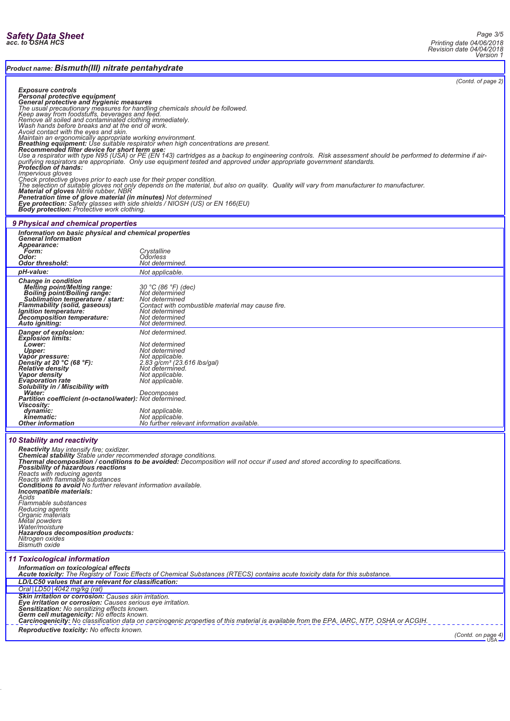*Product name: Bismuth(III) nitrate pentahydrate*

*(Contd. of page 2)*

|                                                                                                                                                                                                                                                                                                                                                                                                                                                                                                                                                                                                                                                                                                                                                                                                                                                                                                                                                                                                                                                                                                                                                                                                                                                                                                     | page                                                                                                                                                                                                                                 |  |  |  |
|-----------------------------------------------------------------------------------------------------------------------------------------------------------------------------------------------------------------------------------------------------------------------------------------------------------------------------------------------------------------------------------------------------------------------------------------------------------------------------------------------------------------------------------------------------------------------------------------------------------------------------------------------------------------------------------------------------------------------------------------------------------------------------------------------------------------------------------------------------------------------------------------------------------------------------------------------------------------------------------------------------------------------------------------------------------------------------------------------------------------------------------------------------------------------------------------------------------------------------------------------------------------------------------------------------|--------------------------------------------------------------------------------------------------------------------------------------------------------------------------------------------------------------------------------------|--|--|--|
| Exposure controls<br>Personal protective equipment<br>General protective and hygienic measures<br>The usual precautionary measures for handling chemicals should be followed.<br>Keep away from foodstuffs, beverages and feed.<br>Remove all soiled and contaminated clothing immediately.<br>Nash hands before breaks and at the end of work.<br>Avoid contact with the eyes and skin.<br>Avoid contact with the eyes and skin.<br>Maintain an ergonomically appropriate working environment.<br><b>Breathing equipment:</b> Use suitable re<br>Use a respirator with type N95 (USA) or PE (EN 143) cartridges as a backup to engineering controls. Risk assessment should be performed to determine if air-<br>purifying respirators are appropriate. Only use equipment tested and approved under appropriate government standards.<br>Impervious gloves<br>mportional given<br>The selection of suitable gloves not only depends on the material, but also on quality. Quality will vary from manufacturer to manufacturer.<br>The selection of suitable gloves not only depends on the materia<br>Penetration time of glove material (in minutes) Not determined<br>Eye protection: Safety glasses with side shields / NIOSH (US) or EN 166(EU)<br>Body protection: Protective work clothing. |                                                                                                                                                                                                                                      |  |  |  |
| 9 Physical and chemical properties                                                                                                                                                                                                                                                                                                                                                                                                                                                                                                                                                                                                                                                                                                                                                                                                                                                                                                                                                                                                                                                                                                                                                                                                                                                                  |                                                                                                                                                                                                                                      |  |  |  |
| Information on basic physical and chemical properties                                                                                                                                                                                                                                                                                                                                                                                                                                                                                                                                                                                                                                                                                                                                                                                                                                                                                                                                                                                                                                                                                                                                                                                                                                               |                                                                                                                                                                                                                                      |  |  |  |
| <b>General Information</b><br>Appearance:                                                                                                                                                                                                                                                                                                                                                                                                                                                                                                                                                                                                                                                                                                                                                                                                                                                                                                                                                                                                                                                                                                                                                                                                                                                           |                                                                                                                                                                                                                                      |  |  |  |
| <b>Form:</b>                                                                                                                                                                                                                                                                                                                                                                                                                                                                                                                                                                                                                                                                                                                                                                                                                                                                                                                                                                                                                                                                                                                                                                                                                                                                                        | Crystalline                                                                                                                                                                                                                          |  |  |  |
| Odor:<br>Odor threshold:                                                                                                                                                                                                                                                                                                                                                                                                                                                                                                                                                                                                                                                                                                                                                                                                                                                                                                                                                                                                                                                                                                                                                                                                                                                                            | Odorless<br>Not determined.                                                                                                                                                                                                          |  |  |  |
| pH-value:                                                                                                                                                                                                                                                                                                                                                                                                                                                                                                                                                                                                                                                                                                                                                                                                                                                                                                                                                                                                                                                                                                                                                                                                                                                                                           | Not applicable.                                                                                                                                                                                                                      |  |  |  |
| <b>Change in condition</b>                                                                                                                                                                                                                                                                                                                                                                                                                                                                                                                                                                                                                                                                                                                                                                                                                                                                                                                                                                                                                                                                                                                                                                                                                                                                          |                                                                                                                                                                                                                                      |  |  |  |
| <b>Melting point/Melting range:</b><br>Boiling point/Boiling range:<br>Sublimation temperature / start:<br><b>Flammability (solid, gaseous)</b><br><i>Ignition temperature:</i><br>Decomposition temperature:                                                                                                                                                                                                                                                                                                                                                                                                                                                                                                                                                                                                                                                                                                                                                                                                                                                                                                                                                                                                                                                                                       | 30 °C (86 °F) (dec)<br>Not determined<br>Not determined<br>Contact with combustible material may cause fire.<br>Not determined                                                                                                       |  |  |  |
| Auto igniting:                                                                                                                                                                                                                                                                                                                                                                                                                                                                                                                                                                                                                                                                                                                                                                                                                                                                                                                                                                                                                                                                                                                                                                                                                                                                                      | Not determined<br>Not determined.                                                                                                                                                                                                    |  |  |  |
|                                                                                                                                                                                                                                                                                                                                                                                                                                                                                                                                                                                                                                                                                                                                                                                                                                                                                                                                                                                                                                                                                                                                                                                                                                                                                                     | Not determined.                                                                                                                                                                                                                      |  |  |  |
| <b>Danger of explosion:</b><br>Explosion limits:                                                                                                                                                                                                                                                                                                                                                                                                                                                                                                                                                                                                                                                                                                                                                                                                                                                                                                                                                                                                                                                                                                                                                                                                                                                    |                                                                                                                                                                                                                                      |  |  |  |
| Lower:<br>Upper:                                                                                                                                                                                                                                                                                                                                                                                                                                                                                                                                                                                                                                                                                                                                                                                                                                                                                                                                                                                                                                                                                                                                                                                                                                                                                    | Not determined<br>Not determined                                                                                                                                                                                                     |  |  |  |
| Vapor pressure:                                                                                                                                                                                                                                                                                                                                                                                                                                                                                                                                                                                                                                                                                                                                                                                                                                                                                                                                                                                                                                                                                                                                                                                                                                                                                     | Not applicable.                                                                                                                                                                                                                      |  |  |  |
| Density at 20 °C (68 °F):                                                                                                                                                                                                                                                                                                                                                                                                                                                                                                                                                                                                                                                                                                                                                                                                                                                                                                                                                                                                                                                                                                                                                                                                                                                                           | 2.83 g/cm <sup>3</sup> (23.616 lbs/gal)                                                                                                                                                                                              |  |  |  |
| Relative density<br>Vapor density                                                                                                                                                                                                                                                                                                                                                                                                                                                                                                                                                                                                                                                                                                                                                                                                                                                                                                                                                                                                                                                                                                                                                                                                                                                                   | Not determined.<br>Not applicable.                                                                                                                                                                                                   |  |  |  |
| <b>Evaporation</b> rate                                                                                                                                                                                                                                                                                                                                                                                                                                                                                                                                                                                                                                                                                                                                                                                                                                                                                                                                                                                                                                                                                                                                                                                                                                                                             | Not applicable.                                                                                                                                                                                                                      |  |  |  |
| Solubility in / Miscibility with<br>Water:                                                                                                                                                                                                                                                                                                                                                                                                                                                                                                                                                                                                                                                                                                                                                                                                                                                                                                                                                                                                                                                                                                                                                                                                                                                          | Decomposes                                                                                                                                                                                                                           |  |  |  |
| Partition coefficient (n-octanol/water): Not determined.                                                                                                                                                                                                                                                                                                                                                                                                                                                                                                                                                                                                                                                                                                                                                                                                                                                                                                                                                                                                                                                                                                                                                                                                                                            |                                                                                                                                                                                                                                      |  |  |  |
| <b>Viscosity:</b>                                                                                                                                                                                                                                                                                                                                                                                                                                                                                                                                                                                                                                                                                                                                                                                                                                                                                                                                                                                                                                                                                                                                                                                                                                                                                   |                                                                                                                                                                                                                                      |  |  |  |
| dynamic:<br>kinematic:                                                                                                                                                                                                                                                                                                                                                                                                                                                                                                                                                                                                                                                                                                                                                                                                                                                                                                                                                                                                                                                                                                                                                                                                                                                                              | Not applicable.<br>Not applicable.                                                                                                                                                                                                   |  |  |  |
| Other information                                                                                                                                                                                                                                                                                                                                                                                                                                                                                                                                                                                                                                                                                                                                                                                                                                                                                                                                                                                                                                                                                                                                                                                                                                                                                   | No further relevant information available.                                                                                                                                                                                           |  |  |  |
|                                                                                                                                                                                                                                                                                                                                                                                                                                                                                                                                                                                                                                                                                                                                                                                                                                                                                                                                                                                                                                                                                                                                                                                                                                                                                                     |                                                                                                                                                                                                                                      |  |  |  |
| <b>10 Stability and reactivity</b>                                                                                                                                                                                                                                                                                                                                                                                                                                                                                                                                                                                                                                                                                                                                                                                                                                                                                                                                                                                                                                                                                                                                                                                                                                                                  |                                                                                                                                                                                                                                      |  |  |  |
|                                                                                                                                                                                                                                                                                                                                                                                                                                                                                                                                                                                                                                                                                                                                                                                                                                                                                                                                                                                                                                                                                                                                                                                                                                                                                                     |                                                                                                                                                                                                                                      |  |  |  |
|                                                                                                                                                                                                                                                                                                                                                                                                                                                                                                                                                                                                                                                                                                                                                                                                                                                                                                                                                                                                                                                                                                                                                                                                                                                                                                     | Reactivity May intensify fire; oxidizer.<br>Chemical stability Stable under recommended storage conditions.<br>Thermal decomposition / conditions to be avoided: Decomposition will not occur if used and stored according to specif |  |  |  |
| Possibility of hazardous reactions                                                                                                                                                                                                                                                                                                                                                                                                                                                                                                                                                                                                                                                                                                                                                                                                                                                                                                                                                                                                                                                                                                                                                                                                                                                                  |                                                                                                                                                                                                                                      |  |  |  |
| Reacts with reducing agents<br>Reacts with flammable substances                                                                                                                                                                                                                                                                                                                                                                                                                                                                                                                                                                                                                                                                                                                                                                                                                                                                                                                                                                                                                                                                                                                                                                                                                                     |                                                                                                                                                                                                                                      |  |  |  |
| <b>Conditions to avoid No further relevant information available.</b>                                                                                                                                                                                                                                                                                                                                                                                                                                                                                                                                                                                                                                                                                                                                                                                                                                                                                                                                                                                                                                                                                                                                                                                                                               |                                                                                                                                                                                                                                      |  |  |  |
| Incompatible materials:<br>Acids                                                                                                                                                                                                                                                                                                                                                                                                                                                                                                                                                                                                                                                                                                                                                                                                                                                                                                                                                                                                                                                                                                                                                                                                                                                                    |                                                                                                                                                                                                                                      |  |  |  |
| Flammable substances                                                                                                                                                                                                                                                                                                                                                                                                                                                                                                                                                                                                                                                                                                                                                                                                                                                                                                                                                                                                                                                                                                                                                                                                                                                                                |                                                                                                                                                                                                                                      |  |  |  |
| Reducing agents<br>Organic materials                                                                                                                                                                                                                                                                                                                                                                                                                                                                                                                                                                                                                                                                                                                                                                                                                                                                                                                                                                                                                                                                                                                                                                                                                                                                |                                                                                                                                                                                                                                      |  |  |  |
| Metal powders                                                                                                                                                                                                                                                                                                                                                                                                                                                                                                                                                                                                                                                                                                                                                                                                                                                                                                                                                                                                                                                                                                                                                                                                                                                                                       |                                                                                                                                                                                                                                      |  |  |  |
| Water/moisture<br><b>Hazardous decomposition products:</b>                                                                                                                                                                                                                                                                                                                                                                                                                                                                                                                                                                                                                                                                                                                                                                                                                                                                                                                                                                                                                                                                                                                                                                                                                                          |                                                                                                                                                                                                                                      |  |  |  |
| Nitrogen oxides                                                                                                                                                                                                                                                                                                                                                                                                                                                                                                                                                                                                                                                                                                                                                                                                                                                                                                                                                                                                                                                                                                                                                                                                                                                                                     |                                                                                                                                                                                                                                      |  |  |  |
| <b>Bismuth oxide</b>                                                                                                                                                                                                                                                                                                                                                                                                                                                                                                                                                                                                                                                                                                                                                                                                                                                                                                                                                                                                                                                                                                                                                                                                                                                                                |                                                                                                                                                                                                                                      |  |  |  |
| <b>11 Toxicological information</b>                                                                                                                                                                                                                                                                                                                                                                                                                                                                                                                                                                                                                                                                                                                                                                                                                                                                                                                                                                                                                                                                                                                                                                                                                                                                 |                                                                                                                                                                                                                                      |  |  |  |
|                                                                                                                                                                                                                                                                                                                                                                                                                                                                                                                                                                                                                                                                                                                                                                                                                                                                                                                                                                                                                                                                                                                                                                                                                                                                                                     |                                                                                                                                                                                                                                      |  |  |  |
| Information on toxicological effects<br>Acute toxicity: The Registry of Toxic Effects of Chemical Substances (RTECS) contains acute toxicity data for this substance.                                                                                                                                                                                                                                                                                                                                                                                                                                                                                                                                                                                                                                                                                                                                                                                                                                                                                                                                                                                                                                                                                                                               |                                                                                                                                                                                                                                      |  |  |  |
| LD/LC50 values that are relevant for classification:                                                                                                                                                                                                                                                                                                                                                                                                                                                                                                                                                                                                                                                                                                                                                                                                                                                                                                                                                                                                                                                                                                                                                                                                                                                |                                                                                                                                                                                                                                      |  |  |  |
| Oral LD50 4042 mg/kg (rat)                                                                                                                                                                                                                                                                                                                                                                                                                                                                                                                                                                                                                                                                                                                                                                                                                                                                                                                                                                                                                                                                                                                                                                                                                                                                          |                                                                                                                                                                                                                                      |  |  |  |
| Skin irritation or corrosion: Causes skin irritation.<br>Eye irritation or corrosion: Causes serious eye irritation.                                                                                                                                                                                                                                                                                                                                                                                                                                                                                                                                                                                                                                                                                                                                                                                                                                                                                                                                                                                                                                                                                                                                                                                |                                                                                                                                                                                                                                      |  |  |  |
| Sensitization: No sensitizing effects known.<br>Germ cell mutagenicity: No effects known.                                                                                                                                                                                                                                                                                                                                                                                                                                                                                                                                                                                                                                                                                                                                                                                                                                                                                                                                                                                                                                                                                                                                                                                                           |                                                                                                                                                                                                                                      |  |  |  |
| Carcinogenicity: No classification data on carcinogenic properties of this material is available from the EPA, IARC, NTP, OSHA or ACGIH.                                                                                                                                                                                                                                                                                                                                                                                                                                                                                                                                                                                                                                                                                                                                                                                                                                                                                                                                                                                                                                                                                                                                                            |                                                                                                                                                                                                                                      |  |  |  |
| Reproductive toxicity: No effects known.                                                                                                                                                                                                                                                                                                                                                                                                                                                                                                                                                                                                                                                                                                                                                                                                                                                                                                                                                                                                                                                                                                                                                                                                                                                            |                                                                                                                                                                                                                                      |  |  |  |
| (Contd. on page 4)                                                                                                                                                                                                                                                                                                                                                                                                                                                                                                                                                                                                                                                                                                                                                                                                                                                                                                                                                                                                                                                                                                                                                                                                                                                                                  |                                                                                                                                                                                                                                      |  |  |  |
|                                                                                                                                                                                                                                                                                                                                                                                                                                                                                                                                                                                                                                                                                                                                                                                                                                                                                                                                                                                                                                                                                                                                                                                                                                                                                                     | USA                                                                                                                                                                                                                                  |  |  |  |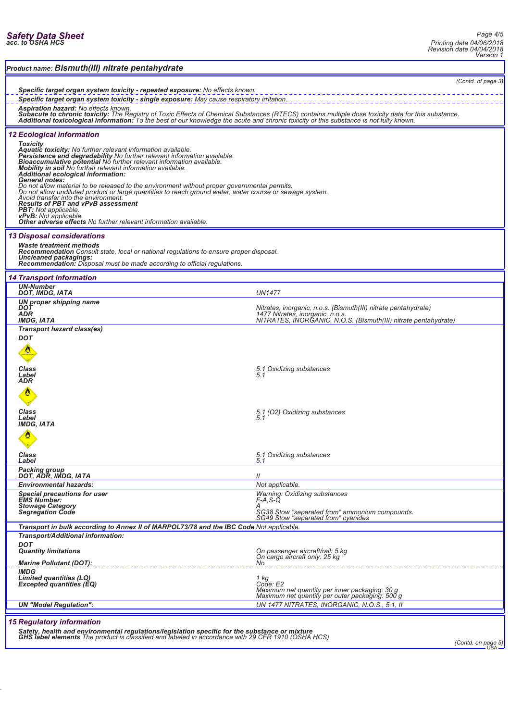|  |  | Safety Data Sheet<br>acc. to OSHA HCS |
|--|--|---------------------------------------|
|  |  |                                       |

| Product name: Bismuth(III) nitrate pentahydrate                                                                                                                                                                                                                                                                                                                                                                                                                                                                                                                                                                                                                                                                                                                                                                                           |                                                                                                                                                                                         |  |  |  |
|-------------------------------------------------------------------------------------------------------------------------------------------------------------------------------------------------------------------------------------------------------------------------------------------------------------------------------------------------------------------------------------------------------------------------------------------------------------------------------------------------------------------------------------------------------------------------------------------------------------------------------------------------------------------------------------------------------------------------------------------------------------------------------------------------------------------------------------------|-----------------------------------------------------------------------------------------------------------------------------------------------------------------------------------------|--|--|--|
| (Contd. of page 3)<br>Specific target organ system toxicity - repeated exposure: No effects known.<br>Specific target organ system toxicity - single exposure: May cause respiratory irritation.<br><b>Aspiration hazard: No effects known.</b><br>Subacute to chronic toxicity: The Registry of Toxic Effects of Chemical Substances (RTECS) contains multiple dose toxicity data for this substance.<br>Additional toxicological information: To the best of our knowledge the acu                                                                                                                                                                                                                                                                                                                                                      |                                                                                                                                                                                         |  |  |  |
| <b>12 Ecological information</b><br><b>Toxicity</b><br>Aquatic toxicity: No further relevant information available.<br>Persistence and degradability No further relevant information available.<br><b>Bioaccumulative potential No further relevant information available.</b><br>Mobility in soil No further relevant information available.<br>Additional ecological information:<br>General notes:<br>Do not allow material to be released to the environment without proper governmental permits.<br>Do not allow undiluted product or large quantities to reach ground water, water course or sewage system.<br>Avoid transfer into the environment.<br><b>Results of PBT and vPvB assessment</b><br><b>PBT:</b> Not applicable.<br><b>vPvB:</b> Not applicable.<br>Other adverse effects No further relevant information available. |                                                                                                                                                                                         |  |  |  |
| <b>13 Disposal considerations</b><br><b>Waste treatment methods</b><br><b>Recommendation</b> Consult state, local or national regulations to ensure proper disposal.<br><b>Uncleaned packagings:</b><br><b>Recommendation:</b> Disposal must be made according to official regulations.                                                                                                                                                                                                                                                                                                                                                                                                                                                                                                                                                   |                                                                                                                                                                                         |  |  |  |
| <b>14 Transport information</b><br><b>UN-Number</b>                                                                                                                                                                                                                                                                                                                                                                                                                                                                                                                                                                                                                                                                                                                                                                                       |                                                                                                                                                                                         |  |  |  |
| DOT, IMDG, IATA<br>UN proper shipping name<br>DOT<br>ADR<br><b>IMDG, IATA</b>                                                                                                                                                                                                                                                                                                                                                                                                                                                                                                                                                                                                                                                                                                                                                             | <b>UN1477</b><br>Nitrates, inorganic, n.o.s. (Bismuth(III) nitrate pentahydrate)<br>1477 Nitrates, inorganic, n.o.s.<br>NITRATES, INORGANIC, N.O.S. (Bismuth(III) nitrate pentahydrate) |  |  |  |
| Transport hazard class(es)<br><b>DOT</b><br><b>Class</b><br>Label<br>ADR                                                                                                                                                                                                                                                                                                                                                                                                                                                                                                                                                                                                                                                                                                                                                                  | 5.1 Oxidizing substances<br>5.1                                                                                                                                                         |  |  |  |
| Class<br>Label<br>IMDG, IATA                                                                                                                                                                                                                                                                                                                                                                                                                                                                                                                                                                                                                                                                                                                                                                                                              | 5.1 (O2) Oxidizing substances<br>5.1                                                                                                                                                    |  |  |  |
| <b>Class</b><br>Label                                                                                                                                                                                                                                                                                                                                                                                                                                                                                                                                                                                                                                                                                                                                                                                                                     | 5.1 Oxidizing substances                                                                                                                                                                |  |  |  |
| Packing group<br>DOT, ADR, IMDG, IATA                                                                                                                                                                                                                                                                                                                                                                                                                                                                                                                                                                                                                                                                                                                                                                                                     | $^{\prime\prime}$                                                                                                                                                                       |  |  |  |
| <b>Environmental hazards:</b>                                                                                                                                                                                                                                                                                                                                                                                                                                                                                                                                                                                                                                                                                                                                                                                                             | Not applicable.                                                                                                                                                                         |  |  |  |
| <b>Special precautions for user</b><br><b>EMS Number:</b><br><b>Stowage Category</b><br><b>Segregation Code</b>                                                                                                                                                                                                                                                                                                                                                                                                                                                                                                                                                                                                                                                                                                                           | <b>Warning: Oxidizing substances</b><br>$F-A.S-Q$<br>SG38 Stow "separated from" ammonium compounds.<br>SG49 Stow "separated from" cyanides                                              |  |  |  |
| Transport in bulk according to Annex II of MARPOL73/78 and the IBC Code Not applicable.                                                                                                                                                                                                                                                                                                                                                                                                                                                                                                                                                                                                                                                                                                                                                   |                                                                                                                                                                                         |  |  |  |
| Transport/Additional information:<br><b>DOT</b><br><b>Quantity limitations</b><br><b>Marine Pollutant (DOT):</b>                                                                                                                                                                                                                                                                                                                                                                                                                                                                                                                                                                                                                                                                                                                          | On passenger aircraft/rail: 5 kg<br>On cargo aircraft only: 25 kg<br>No.                                                                                                                |  |  |  |
| <b>IMDG</b><br><b>Limited quantities (LQ)</b><br>Excepted quantities (EQ)                                                                                                                                                                                                                                                                                                                                                                                                                                                                                                                                                                                                                                                                                                                                                                 | $\frac{1}{2}$ kg<br>Code: E2<br>Maximum net quantity per inner packaging: 30 g<br>Maximum net quantity per outer packaging: 500 g                                                       |  |  |  |
| UN 1477 NITRATES, INORGANIC, N.O.S., 5.1, II<br><b>UN "Model Regulation":</b><br><b>15 Deputators information</b>                                                                                                                                                                                                                                                                                                                                                                                                                                                                                                                                                                                                                                                                                                                         |                                                                                                                                                                                         |  |  |  |

### *15 Regulatory information*

Safety, health and environmental regulations/legislation specific for the substance or mixture<br>GHS label elements The product is classified and labeled in accordance with 29 CFR 1910 (OSHA HCS)<br>USA DER 1910 (Contd. on page